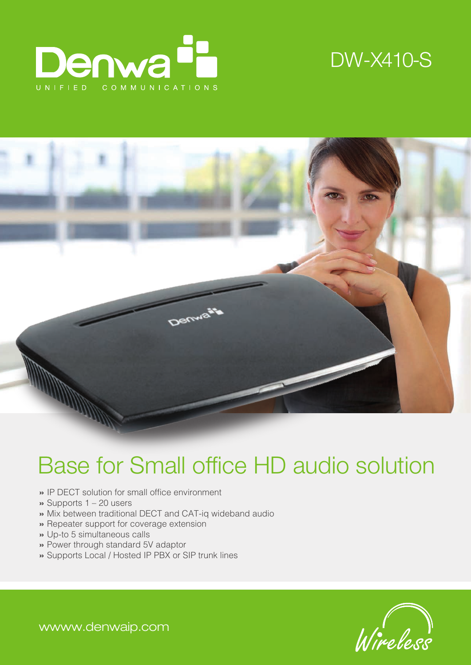





# Base for Small office HD audio solution

- » IP DECT solution for small office environment
- » Supports 1 20 users
- » Mix between traditional DECT and CAT-iq wideband audio
- » Repeater support for coverage extension
- » Up-to 5 simultaneous calls
- » Power through standard 5V adaptor
- » Supports Local / Hosted IP PBX or SIP trunk lines



wwww.denwaip.com